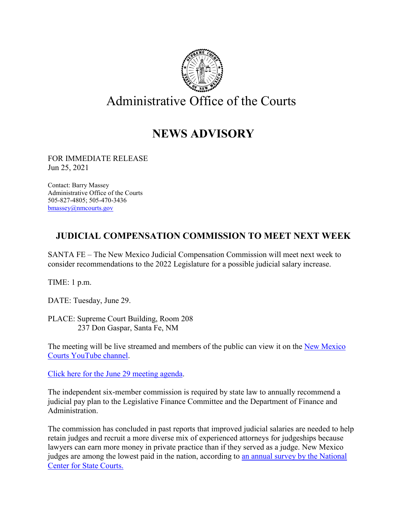

## **NEWS ADVISORY**

FOR IMMEDIATE RELEASE Jun 25, 2021

Contact: Barry Massey Administrative Office of the Courts 505-827-4805; 505-470-3436 [bmassey@nmcourts.gov](mailto:bmassey@nmcourts.gov)

## **JUDICIAL COMPENSATION COMMISSION TO MEET NEXT WEEK**

SANTA FE – The New Mexico Judicial Compensation Commission will meet next week to consider recommendations to the 2022 Legislature for a possible judicial salary increase.

TIME: 1 p.m.

DATE: Tuesday, June 29.

PLACE: Supreme Court Building, Room 208 237 Don Gaspar, Santa Fe, NM

The meeting will be live streamed and members of the public can view it on the New Mexico [Courts YouTube channel.](https://www.youtube.com/channel/UCFVKaA-hXTwBSvRscV9ykhA)

[Click here for the June 29 meeting agenda.](https://api.realfile.rtsclients.com/PublicFiles/f176abc1e5724236a069e99a176a74d5/2349f97d-8405-4238-a2fa-84d62a12ad2f/Judicial%20Compensation%20Commission%20Agenda%20-%20June%2029%2C%202021.pdf)

The independent six-member commission is required by state law to annually recommend a judicial pay plan to the Legislative Finance Committee and the Department of Finance and Administration.

The commission has concluded in past reports that improved judicial salaries are needed to help retain judges and recruit a more diverse mix of experienced attorneys for judgeships because lawyers can earn more money in private practice than if they served as a judge. New Mexico judges are among the lowest paid in the nation, according to [an annual survey by the National](https://www.ncsc.org/__data/assets/pdf_file/0017/60164/JSS-Jan-2021-003.pdf)  [Center for State Courts.](https://www.ncsc.org/__data/assets/pdf_file/0017/60164/JSS-Jan-2021-003.pdf)